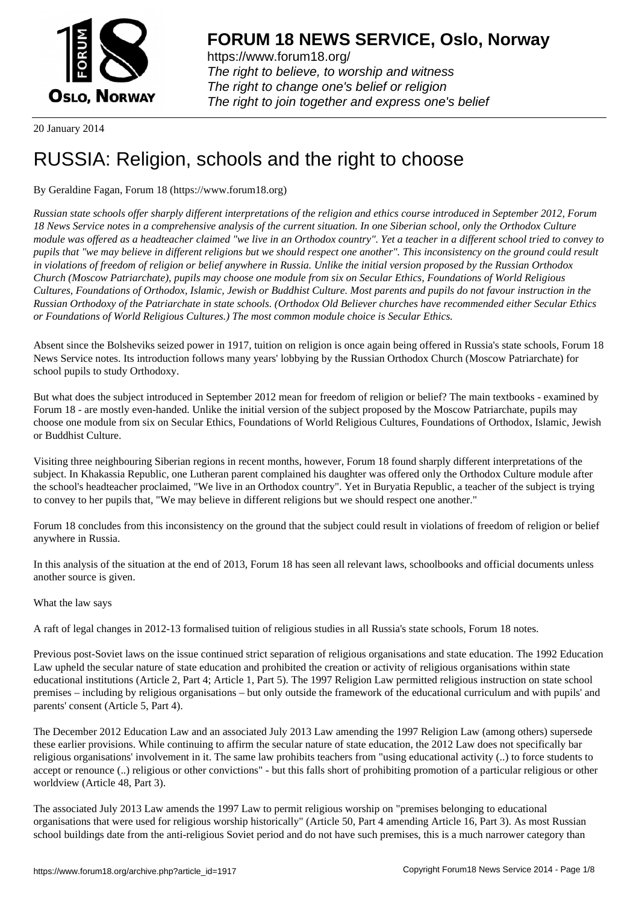

https://www.forum18.org/ The right to believe, to worship and witness The right to change one's belief or religion [The right to join together a](https://www.forum18.org/)nd express one's belief

20 January 2014

# [RUSSIA: Religi](https://www.forum18.org)on, schools and the right to choose

## By Geraldine Fagan, Forum 18 (https://www.forum18.org)

*Russian state schools offer sharply different interpretations of the religion and ethics course introduced in September 2012, Forum 18 News Service notes in a comprehensive analysis of the current situation. In one Siberian school, only the Orthodox Culture module was offered as a headteacher claimed "we live in an Orthodox country". Yet a teacher in a different school tried to convey to pupils that "we may believe in different religions but we should respect one another". This inconsistency on the ground could result in violations of freedom of religion or belief anywhere in Russia. Unlike the initial version proposed by the Russian Orthodox Church (Moscow Patriarchate), pupils may choose one module from six on Secular Ethics, Foundations of World Religious Cultures, Foundations of Orthodox, Islamic, Jewish or Buddhist Culture. Most parents and pupils do not favour instruction in the Russian Orthodoxy of the Patriarchate in state schools. (Orthodox Old Believer churches have recommended either Secular Ethics or Foundations of World Religious Cultures.) The most common module choice is Secular Ethics.*

Absent since the Bolsheviks seized power in 1917, tuition on religion is once again being offered in Russia's state schools, Forum 18 News Service notes. Its introduction follows many years' lobbying by the Russian Orthodox Church (Moscow Patriarchate) for school pupils to study Orthodoxy.

But what does the subject introduced in September 2012 mean for freedom of religion or belief? The main textbooks - examined by Forum 18 - are mostly even-handed. Unlike the initial version of the subject proposed by the Moscow Patriarchate, pupils may choose one module from six on Secular Ethics, Foundations of World Religious Cultures, Foundations of Orthodox, Islamic, Jewish or Buddhist Culture.

Visiting three neighbouring Siberian regions in recent months, however, Forum 18 found sharply different interpretations of the subject. In Khakassia Republic, one Lutheran parent complained his daughter was offered only the Orthodox Culture module after the school's headteacher proclaimed, "We live in an Orthodox country". Yet in Buryatia Republic, a teacher of the subject is trying to convey to her pupils that, "We may believe in different religions but we should respect one another."

Forum 18 concludes from this inconsistency on the ground that the subject could result in violations of freedom of religion or belief anywhere in Russia.

In this analysis of the situation at the end of 2013, Forum 18 has seen all relevant laws, schoolbooks and official documents unless another source is given.

#### What the law says

A raft of legal changes in 2012-13 formalised tuition of religious studies in all Russia's state schools, Forum 18 notes.

Previous post-Soviet laws on the issue continued strict separation of religious organisations and state education. The 1992 Education Law upheld the secular nature of state education and prohibited the creation or activity of religious organisations within state educational institutions (Article 2, Part 4; Article 1, Part 5). The 1997 Religion Law permitted religious instruction on state school premises – including by religious organisations – but only outside the framework of the educational curriculum and with pupils' and parents' consent (Article 5, Part 4).

The December 2012 Education Law and an associated July 2013 Law amending the 1997 Religion Law (among others) supersede these earlier provisions. While continuing to affirm the secular nature of state education, the 2012 Law does not specifically bar religious organisations' involvement in it. The same law prohibits teachers from "using educational activity (..) to force students to accept or renounce (..) religious or other convictions" - but this falls short of prohibiting promotion of a particular religious or other worldview (Article 48, Part 3).

The associated July 2013 Law amends the 1997 Law to permit religious worship on "premises belonging to educational organisations that were used for religious worship historically" (Article 50, Part 4 amending Article 16, Part 3). As most Russian school buildings date from the anti-religious Soviet period and do not have such premises, this is a much narrower category than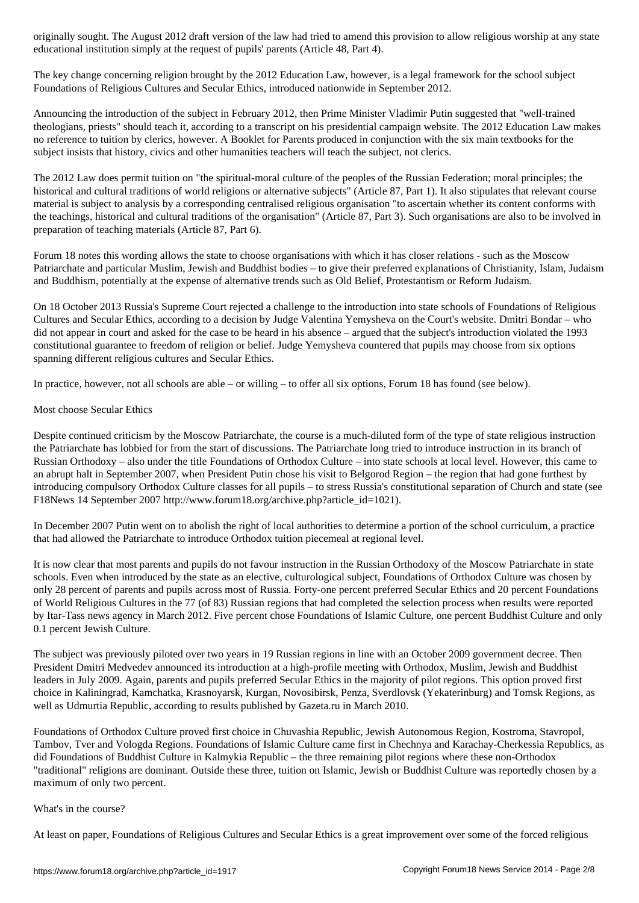educational institution simply at the request of pupils' parents (Article 48, Part 4).

The key change concerning religion brought by the 2012 Education Law, however, is a legal framework for the school subject Foundations of Religious Cultures and Secular Ethics, introduced nationwide in September 2012.

Announcing the introduction of the subject in February 2012, then Prime Minister Vladimir Putin suggested that "well-trained theologians, priests" should teach it, according to a transcript on his presidential campaign website. The 2012 Education Law makes no reference to tuition by clerics, however. A Booklet for Parents produced in conjunction with the six main textbooks for the subject insists that history, civics and other humanities teachers will teach the subject, not clerics.

The 2012 Law does permit tuition on "the spiritual-moral culture of the peoples of the Russian Federation; moral principles; the historical and cultural traditions of world religions or alternative subjects" (Article 87, Part 1). It also stipulates that relevant course material is subject to analysis by a corresponding centralised religious organisation "to ascertain whether its content conforms with the teachings, historical and cultural traditions of the organisation" (Article 87, Part 3). Such organisations are also to be involved in preparation of teaching materials (Article 87, Part 6).

Forum 18 notes this wording allows the state to choose organisations with which it has closer relations - such as the Moscow Patriarchate and particular Muslim, Jewish and Buddhist bodies – to give their preferred explanations of Christianity, Islam, Judaism and Buddhism, potentially at the expense of alternative trends such as Old Belief, Protestantism or Reform Judaism.

On 18 October 2013 Russia's Supreme Court rejected a challenge to the introduction into state schools of Foundations of Religious Cultures and Secular Ethics, according to a decision by Judge Valentina Yemysheva on the Court's website. Dmitri Bondar – who did not appear in court and asked for the case to be heard in his absence – argued that the subject's introduction violated the 1993 constitutional guarantee to freedom of religion or belief. Judge Yemysheva countered that pupils may choose from six options spanning different religious cultures and Secular Ethics.

In practice, however, not all schools are able – or willing – to offer all six options, Forum 18 has found (see below).

# Most choose Secular Ethics

Despite continued criticism by the Moscow Patriarchate, the course is a much-diluted form of the type of state religious instruction the Patriarchate has lobbied for from the start of discussions. The Patriarchate long tried to introduce instruction in its branch of Russian Orthodoxy – also under the title Foundations of Orthodox Culture – into state schools at local level. However, this came to an abrupt halt in September 2007, when President Putin chose his visit to Belgorod Region – the region that had gone furthest by introducing compulsory Orthodox Culture classes for all pupils – to stress Russia's constitutional separation of Church and state (see F18News 14 September 2007 http://www.forum18.org/archive.php?article\_id=1021).

In December 2007 Putin went on to abolish the right of local authorities to determine a portion of the school curriculum, a practice that had allowed the Patriarchate to introduce Orthodox tuition piecemeal at regional level.

It is now clear that most parents and pupils do not favour instruction in the Russian Orthodoxy of the Moscow Patriarchate in state schools. Even when introduced by the state as an elective, culturological subject, Foundations of Orthodox Culture was chosen by only 28 percent of parents and pupils across most of Russia. Forty-one percent preferred Secular Ethics and 20 percent Foundations of World Religious Cultures in the 77 (of 83) Russian regions that had completed the selection process when results were reported by Itar-Tass news agency in March 2012. Five percent chose Foundations of Islamic Culture, one percent Buddhist Culture and only 0.1 percent Jewish Culture.

The subject was previously piloted over two years in 19 Russian regions in line with an October 2009 government decree. Then President Dmitri Medvedev announced its introduction at a high-profile meeting with Orthodox, Muslim, Jewish and Buddhist leaders in July 2009. Again, parents and pupils preferred Secular Ethics in the majority of pilot regions. This option proved first choice in Kaliningrad, Kamchatka, Krasnoyarsk, Kurgan, Novosibirsk, Penza, Sverdlovsk (Yekaterinburg) and Tomsk Regions, as well as Udmurtia Republic, according to results published by Gazeta.ru in March 2010.

Foundations of Orthodox Culture proved first choice in Chuvashia Republic, Jewish Autonomous Region, Kostroma, Stavropol, Tambov, Tver and Vologda Regions. Foundations of Islamic Culture came first in Chechnya and Karachay-Cherkessia Republics, as did Foundations of Buddhist Culture in Kalmykia Republic – the three remaining pilot regions where these non-Orthodox "traditional" religions are dominant. Outside these three, tuition on Islamic, Jewish or Buddhist Culture was reportedly chosen by a maximum of only two percent.

#### What's in the course?

At least on paper, Foundations of Religious Cultures and Secular Ethics is a great improvement over some of the forced religious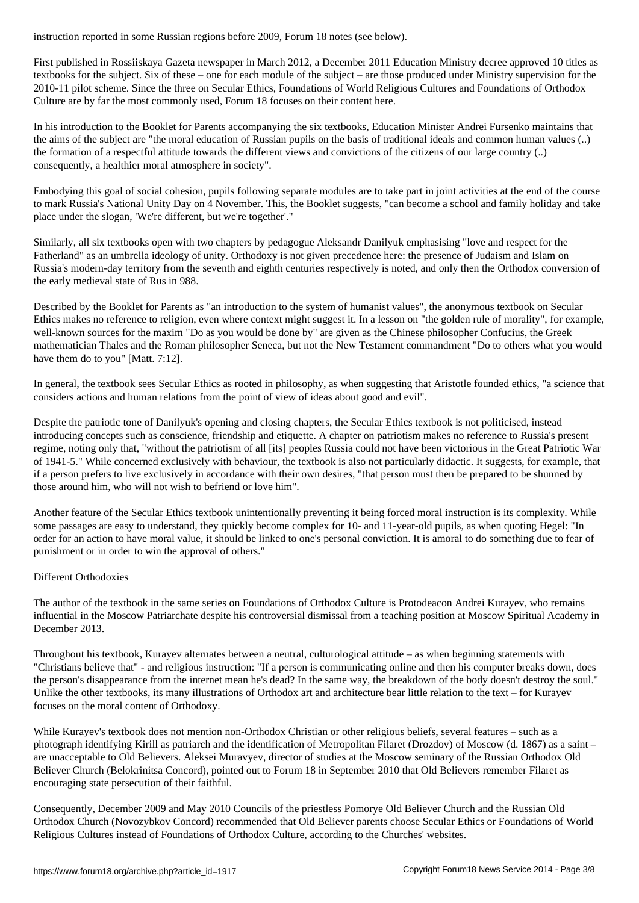First published in Rossiiskaya Gazeta newspaper in March 2012, a December 2011 Education Ministry decree approved 10 titles as textbooks for the subject. Six of these – one for each module of the subject – are those produced under Ministry supervision for the 2010-11 pilot scheme. Since the three on Secular Ethics, Foundations of World Religious Cultures and Foundations of Orthodox Culture are by far the most commonly used, Forum 18 focuses on their content here.

In his introduction to the Booklet for Parents accompanying the six textbooks, Education Minister Andrei Fursenko maintains that the aims of the subject are "the moral education of Russian pupils on the basis of traditional ideals and common human values (..) the formation of a respectful attitude towards the different views and convictions of the citizens of our large country (..) consequently, a healthier moral atmosphere in society".

Embodying this goal of social cohesion, pupils following separate modules are to take part in joint activities at the end of the course to mark Russia's National Unity Day on 4 November. This, the Booklet suggests, "can become a school and family holiday and take place under the slogan, 'We're different, but we're together'."

Similarly, all six textbooks open with two chapters by pedagogue Aleksandr Danilyuk emphasising "love and respect for the Fatherland" as an umbrella ideology of unity. Orthodoxy is not given precedence here: the presence of Judaism and Islam on Russia's modern-day territory from the seventh and eighth centuries respectively is noted, and only then the Orthodox conversion of the early medieval state of Rus in 988.

Described by the Booklet for Parents as "an introduction to the system of humanist values", the anonymous textbook on Secular Ethics makes no reference to religion, even where context might suggest it. In a lesson on "the golden rule of morality", for example, well-known sources for the maxim "Do as you would be done by" are given as the Chinese philosopher Confucius, the Greek mathematician Thales and the Roman philosopher Seneca, but not the New Testament commandment "Do to others what you would have them do to you" [Matt. 7:12].

In general, the textbook sees Secular Ethics as rooted in philosophy, as when suggesting that Aristotle founded ethics, "a science that considers actions and human relations from the point of view of ideas about good and evil".

Despite the patriotic tone of Danilyuk's opening and closing chapters, the Secular Ethics textbook is not politicised, instead introducing concepts such as conscience, friendship and etiquette. A chapter on patriotism makes no reference to Russia's present regime, noting only that, "without the patriotism of all [its] peoples Russia could not have been victorious in the Great Patriotic War of 1941-5." While concerned exclusively with behaviour, the textbook is also not particularly didactic. It suggests, for example, that if a person prefers to live exclusively in accordance with their own desires, "that person must then be prepared to be shunned by those around him, who will not wish to befriend or love him".

Another feature of the Secular Ethics textbook unintentionally preventing it being forced moral instruction is its complexity. While some passages are easy to understand, they quickly become complex for 10- and 11-year-old pupils, as when quoting Hegel: "In order for an action to have moral value, it should be linked to one's personal conviction. It is amoral to do something due to fear of punishment or in order to win the approval of others."

#### Different Orthodoxies

The author of the textbook in the same series on Foundations of Orthodox Culture is Protodeacon Andrei Kurayev, who remains influential in the Moscow Patriarchate despite his controversial dismissal from a teaching position at Moscow Spiritual Academy in December 2013.

Throughout his textbook, Kurayev alternates between a neutral, culturological attitude – as when beginning statements with "Christians believe that" - and religious instruction: "If a person is communicating online and then his computer breaks down, does the person's disappearance from the internet mean he's dead? In the same way, the breakdown of the body doesn't destroy the soul." Unlike the other textbooks, its many illustrations of Orthodox art and architecture bear little relation to the text – for Kurayev focuses on the moral content of Orthodoxy.

While Kurayev's textbook does not mention non-Orthodox Christian or other religious beliefs, several features – such as a photograph identifying Kirill as patriarch and the identification of Metropolitan Filaret (Drozdov) of Moscow (d. 1867) as a saint – are unacceptable to Old Believers. Aleksei Muravyev, director of studies at the Moscow seminary of the Russian Orthodox Old Believer Church (Belokrinitsa Concord), pointed out to Forum 18 in September 2010 that Old Believers remember Filaret as encouraging state persecution of their faithful.

Consequently, December 2009 and May 2010 Councils of the priestless Pomorye Old Believer Church and the Russian Old Orthodox Church (Novozybkov Concord) recommended that Old Believer parents choose Secular Ethics or Foundations of World Religious Cultures instead of Foundations of Orthodox Culture, according to the Churches' websites.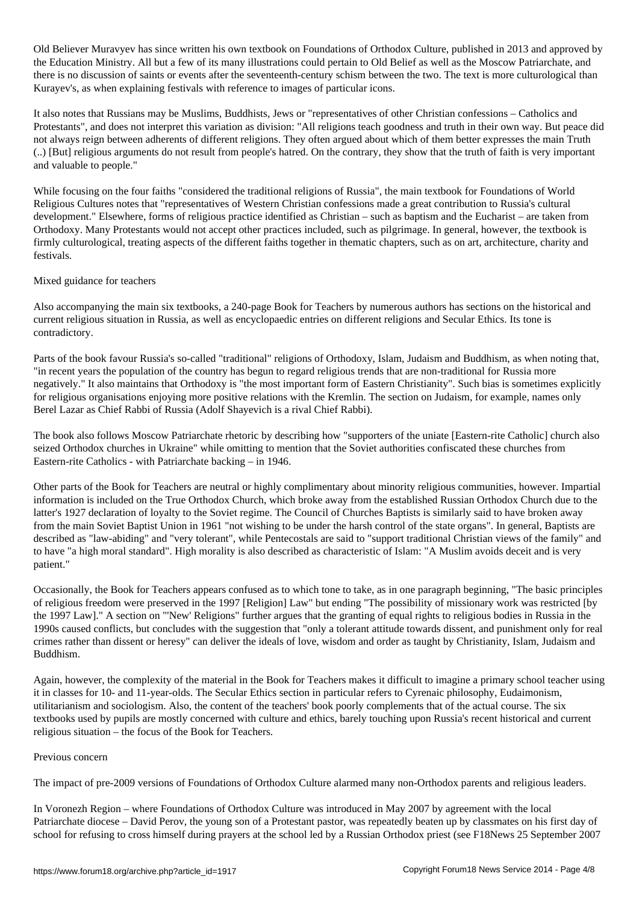Old Believer Muravyev has since written his own textbook on Foundations of Orthodox Culture, published in 2013 and approved by the Education Ministry. All but a few of its many illustrations could pertain to Old Belief as well as the Moscow Patriarchate, and there is no discussion of saints or events after the seventeenth-century schism between the two. The text is more culturological than Kurayev's, as when explaining festivals with reference to images of particular icons.

It also notes that Russians may be Muslims, Buddhists, Jews or "representatives of other Christian confessions – Catholics and Protestants", and does not interpret this variation as division: "All religions teach goodness and truth in their own way. But peace did not always reign between adherents of different religions. They often argued about which of them better expresses the main Truth (..) [But] religious arguments do not result from people's hatred. On the contrary, they show that the truth of faith is very important and valuable to people."

While focusing on the four faiths "considered the traditional religions of Russia", the main textbook for Foundations of World Religious Cultures notes that "representatives of Western Christian confessions made a great contribution to Russia's cultural development." Elsewhere, forms of religious practice identified as Christian – such as baptism and the Eucharist – are taken from Orthodoxy. Many Protestants would not accept other practices included, such as pilgrimage. In general, however, the textbook is firmly culturological, treating aspects of the different faiths together in thematic chapters, such as on art, architecture, charity and festivals.

#### Mixed guidance for teachers

Also accompanying the main six textbooks, a 240-page Book for Teachers by numerous authors has sections on the historical and current religious situation in Russia, as well as encyclopaedic entries on different religions and Secular Ethics. Its tone is contradictory.

Parts of the book favour Russia's so-called "traditional" religions of Orthodoxy, Islam, Judaism and Buddhism, as when noting that, "in recent years the population of the country has begun to regard religious trends that are non-traditional for Russia more negatively." It also maintains that Orthodoxy is "the most important form of Eastern Christianity". Such bias is sometimes explicitly for religious organisations enjoying more positive relations with the Kremlin. The section on Judaism, for example, names only Berel Lazar as Chief Rabbi of Russia (Adolf Shayevich is a rival Chief Rabbi).

The book also follows Moscow Patriarchate rhetoric by describing how "supporters of the uniate [Eastern-rite Catholic] church also seized Orthodox churches in Ukraine" while omitting to mention that the Soviet authorities confiscated these churches from Eastern-rite Catholics - with Patriarchate backing – in 1946.

Other parts of the Book for Teachers are neutral or highly complimentary about minority religious communities, however. Impartial information is included on the True Orthodox Church, which broke away from the established Russian Orthodox Church due to the latter's 1927 declaration of loyalty to the Soviet regime. The Council of Churches Baptists is similarly said to have broken away from the main Soviet Baptist Union in 1961 "not wishing to be under the harsh control of the state organs". In general, Baptists are described as "law-abiding" and "very tolerant", while Pentecostals are said to "support traditional Christian views of the family" and to have "a high moral standard". High morality is also described as characteristic of Islam: "A Muslim avoids deceit and is very patient."

Occasionally, the Book for Teachers appears confused as to which tone to take, as in one paragraph beginning, "The basic principles of religious freedom were preserved in the 1997 [Religion] Law" but ending "The possibility of missionary work was restricted [by the 1997 Law]." A section on "'New' Religions" further argues that the granting of equal rights to religious bodies in Russia in the 1990s caused conflicts, but concludes with the suggestion that "only a tolerant attitude towards dissent, and punishment only for real crimes rather than dissent or heresy" can deliver the ideals of love, wisdom and order as taught by Christianity, Islam, Judaism and Buddhism.

Again, however, the complexity of the material in the Book for Teachers makes it difficult to imagine a primary school teacher using it in classes for 10- and 11-year-olds. The Secular Ethics section in particular refers to Cyrenaic philosophy, Eudaimonism, utilitarianism and sociologism. Also, the content of the teachers' book poorly complements that of the actual course. The six textbooks used by pupils are mostly concerned with culture and ethics, barely touching upon Russia's recent historical and current religious situation – the focus of the Book for Teachers.

#### Previous concern

The impact of pre-2009 versions of Foundations of Orthodox Culture alarmed many non-Orthodox parents and religious leaders.

In Voronezh Region – where Foundations of Orthodox Culture was introduced in May 2007 by agreement with the local Patriarchate diocese – David Perov, the young son of a Protestant pastor, was repeatedly beaten up by classmates on his first day of school for refusing to cross himself during prayers at the school led by a Russian Orthodox priest (see F18News 25 September 2007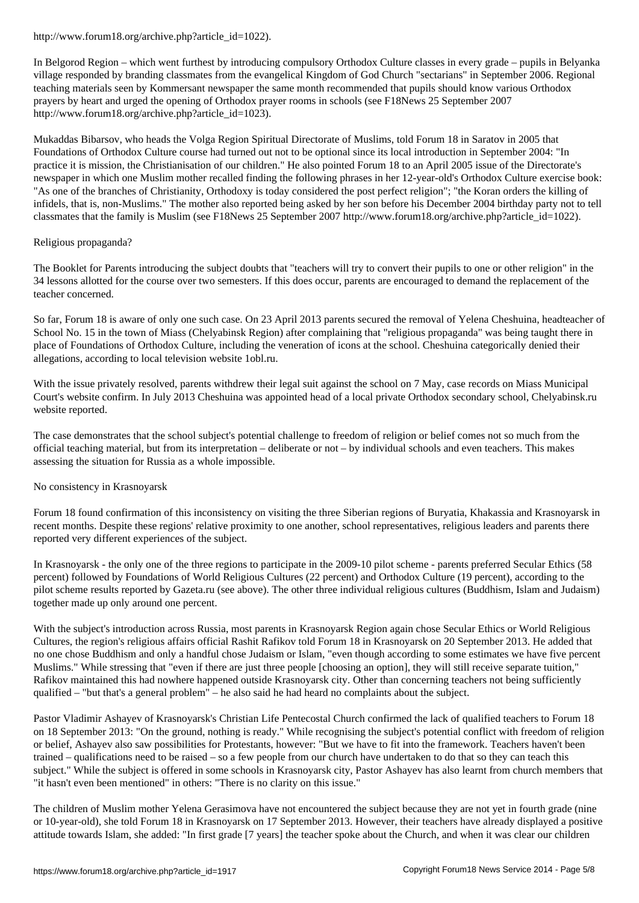In Belgorod Region – which went furthest by introducing compulsory Orthodox Culture classes in every grade – pupils in Belyanka village responded by branding classmates from the evangelical Kingdom of God Church "sectarians" in September 2006. Regional teaching materials seen by Kommersant newspaper the same month recommended that pupils should know various Orthodox prayers by heart and urged the opening of Orthodox prayer rooms in schools (see F18News 25 September 2007 http://www.forum18.org/archive.php?article\_id=1023).

Mukaddas Bibarsov, who heads the Volga Region Spiritual Directorate of Muslims, told Forum 18 in Saratov in 2005 that Foundations of Orthodox Culture course had turned out not to be optional since its local introduction in September 2004: "In practice it is mission, the Christianisation of our children." He also pointed Forum 18 to an April 2005 issue of the Directorate's newspaper in which one Muslim mother recalled finding the following phrases in her 12-year-old's Orthodox Culture exercise book: "As one of the branches of Christianity, Orthodoxy is today considered the post perfect religion"; "the Koran orders the killing of infidels, that is, non-Muslims." The mother also reported being asked by her son before his December 2004 birthday party not to tell classmates that the family is Muslim (see F18News 25 September 2007 http://www.forum18.org/archive.php?article\_id=1022).

#### Religious propaganda?

The Booklet for Parents introducing the subject doubts that "teachers will try to convert their pupils to one or other religion" in the 34 lessons allotted for the course over two semesters. If this does occur, parents are encouraged to demand the replacement of the teacher concerned.

So far, Forum 18 is aware of only one such case. On 23 April 2013 parents secured the removal of Yelena Cheshuina, headteacher of School No. 15 in the town of Miass (Chelyabinsk Region) after complaining that "religious propaganda" was being taught there in place of Foundations of Orthodox Culture, including the veneration of icons at the school. Cheshuina categorically denied their allegations, according to local television website 1obl.ru.

With the issue privately resolved, parents withdrew their legal suit against the school on 7 May, case records on Miass Municipal Court's website confirm. In July 2013 Cheshuina was appointed head of a local private Orthodox secondary school, Chelyabinsk.ru website reported.

The case demonstrates that the school subject's potential challenge to freedom of religion or belief comes not so much from the official teaching material, but from its interpretation – deliberate or not – by individual schools and even teachers. This makes assessing the situation for Russia as a whole impossible.

#### No consistency in Krasnoyarsk

Forum 18 found confirmation of this inconsistency on visiting the three Siberian regions of Buryatia, Khakassia and Krasnoyarsk in recent months. Despite these regions' relative proximity to one another, school representatives, religious leaders and parents there reported very different experiences of the subject.

In Krasnoyarsk - the only one of the three regions to participate in the 2009-10 pilot scheme - parents preferred Secular Ethics (58 percent) followed by Foundations of World Religious Cultures (22 percent) and Orthodox Culture (19 percent), according to the pilot scheme results reported by Gazeta.ru (see above). The other three individual religious cultures (Buddhism, Islam and Judaism) together made up only around one percent.

With the subject's introduction across Russia, most parents in Krasnoyarsk Region again chose Secular Ethics or World Religious Cultures, the region's religious affairs official Rashit Rafikov told Forum 18 in Krasnoyarsk on 20 September 2013. He added that no one chose Buddhism and only a handful chose Judaism or Islam, "even though according to some estimates we have five percent Muslims." While stressing that "even if there are just three people [choosing an option], they will still receive separate tuition," Rafikov maintained this had nowhere happened outside Krasnoyarsk city. Other than concerning teachers not being sufficiently qualified – "but that's a general problem" – he also said he had heard no complaints about the subject.

Pastor Vladimir Ashayev of Krasnoyarsk's Christian Life Pentecostal Church confirmed the lack of qualified teachers to Forum 18 on 18 September 2013: "On the ground, nothing is ready." While recognising the subject's potential conflict with freedom of religion or belief, Ashayev also saw possibilities for Protestants, however: "But we have to fit into the framework. Teachers haven't been trained – qualifications need to be raised – so a few people from our church have undertaken to do that so they can teach this subject." While the subject is offered in some schools in Krasnoyarsk city, Pastor Ashayev has also learnt from church members that "it hasn't even been mentioned" in others: "There is no clarity on this issue."

The children of Muslim mother Yelena Gerasimova have not encountered the subject because they are not yet in fourth grade (nine or 10-year-old), she told Forum 18 in Krasnoyarsk on 17 September 2013. However, their teachers have already displayed a positive attitude towards Islam, she added: "In first grade [7 years] the teacher spoke about the Church, and when it was clear our children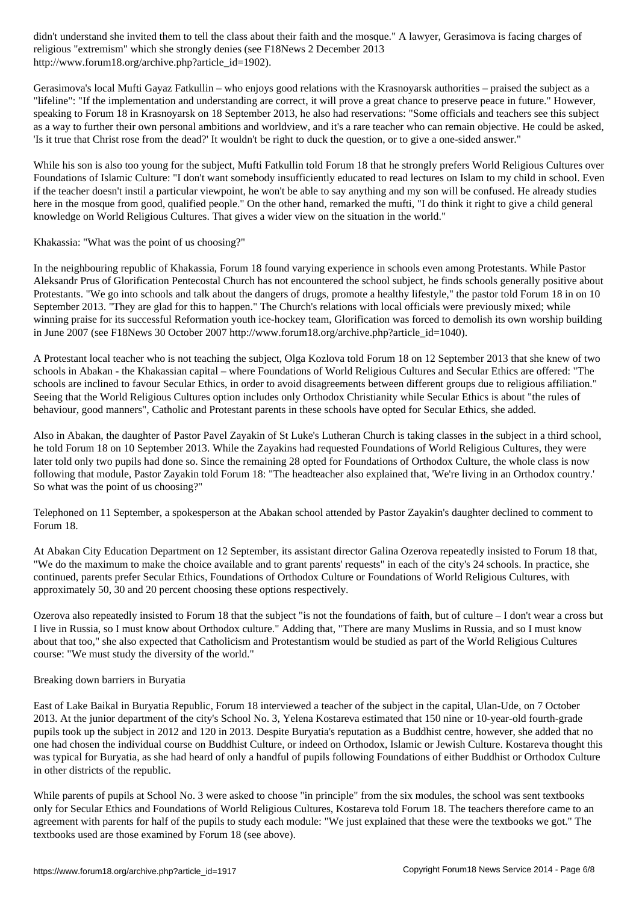religious "extremism" which she strongly denies (see F18News 2 December 2013 http://www.forum18.org/archive.php?article\_id=1902).

Gerasimova's local Mufti Gayaz Fatkullin – who enjoys good relations with the Krasnoyarsk authorities – praised the subject as a "lifeline": "If the implementation and understanding are correct, it will prove a great chance to preserve peace in future." However, speaking to Forum 18 in Krasnoyarsk on 18 September 2013, he also had reservations: "Some officials and teachers see this subject as a way to further their own personal ambitions and worldview, and it's a rare teacher who can remain objective. He could be asked, 'Is it true that Christ rose from the dead?' It wouldn't be right to duck the question, or to give a one-sided answer."

While his son is also too young for the subject, Mufti Fatkullin told Forum 18 that he strongly prefers World Religious Cultures over Foundations of Islamic Culture: "I don't want somebody insufficiently educated to read lectures on Islam to my child in school. Even if the teacher doesn't instil a particular viewpoint, he won't be able to say anything and my son will be confused. He already studies here in the mosque from good, qualified people." On the other hand, remarked the mufti, "I do think it right to give a child general knowledge on World Religious Cultures. That gives a wider view on the situation in the world."

Khakassia: "What was the point of us choosing?"

In the neighbouring republic of Khakassia, Forum 18 found varying experience in schools even among Protestants. While Pastor Aleksandr Prus of Glorification Pentecostal Church has not encountered the school subject, he finds schools generally positive about Protestants. "We go into schools and talk about the dangers of drugs, promote a healthy lifestyle," the pastor told Forum 18 in on 10 September 2013. "They are glad for this to happen." The Church's relations with local officials were previously mixed; while winning praise for its successful Reformation youth ice-hockey team, Glorification was forced to demolish its own worship building in June 2007 (see F18News 30 October 2007 http://www.forum18.org/archive.php?article\_id=1040).

A Protestant local teacher who is not teaching the subject, Olga Kozlova told Forum 18 on 12 September 2013 that she knew of two schools in Abakan - the Khakassian capital – where Foundations of World Religious Cultures and Secular Ethics are offered: "The schools are inclined to favour Secular Ethics, in order to avoid disagreements between different groups due to religious affiliation." Seeing that the World Religious Cultures option includes only Orthodox Christianity while Secular Ethics is about "the rules of behaviour, good manners", Catholic and Protestant parents in these schools have opted for Secular Ethics, she added.

Also in Abakan, the daughter of Pastor Pavel Zayakin of St Luke's Lutheran Church is taking classes in the subject in a third school, he told Forum 18 on 10 September 2013. While the Zayakins had requested Foundations of World Religious Cultures, they were later told only two pupils had done so. Since the remaining 28 opted for Foundations of Orthodox Culture, the whole class is now following that module, Pastor Zayakin told Forum 18: "The headteacher also explained that, 'We're living in an Orthodox country.' So what was the point of us choosing?"

Telephoned on 11 September, a spokesperson at the Abakan school attended by Pastor Zayakin's daughter declined to comment to Forum 18.

At Abakan City Education Department on 12 September, its assistant director Galina Ozerova repeatedly insisted to Forum 18 that, "We do the maximum to make the choice available and to grant parents' requests" in each of the city's 24 schools. In practice, she continued, parents prefer Secular Ethics, Foundations of Orthodox Culture or Foundations of World Religious Cultures, with approximately 50, 30 and 20 percent choosing these options respectively.

Ozerova also repeatedly insisted to Forum 18 that the subject "is not the foundations of faith, but of culture – I don't wear a cross but I live in Russia, so I must know about Orthodox culture." Adding that, "There are many Muslims in Russia, and so I must know about that too," she also expected that Catholicism and Protestantism would be studied as part of the World Religious Cultures course: "We must study the diversity of the world."

### Breaking down barriers in Buryatia

East of Lake Baikal in Buryatia Republic, Forum 18 interviewed a teacher of the subject in the capital, Ulan-Ude, on 7 October 2013. At the junior department of the city's School No. 3, Yelena Kostareva estimated that 150 nine or 10-year-old fourth-grade pupils took up the subject in 2012 and 120 in 2013. Despite Buryatia's reputation as a Buddhist centre, however, she added that no one had chosen the individual course on Buddhist Culture, or indeed on Orthodox, Islamic or Jewish Culture. Kostareva thought this was typical for Buryatia, as she had heard of only a handful of pupils following Foundations of either Buddhist or Orthodox Culture in other districts of the republic.

While parents of pupils at School No. 3 were asked to choose "in principle" from the six modules, the school was sent textbooks only for Secular Ethics and Foundations of World Religious Cultures, Kostareva told Forum 18. The teachers therefore came to an agreement with parents for half of the pupils to study each module: "We just explained that these were the textbooks we got." The textbooks used are those examined by Forum 18 (see above).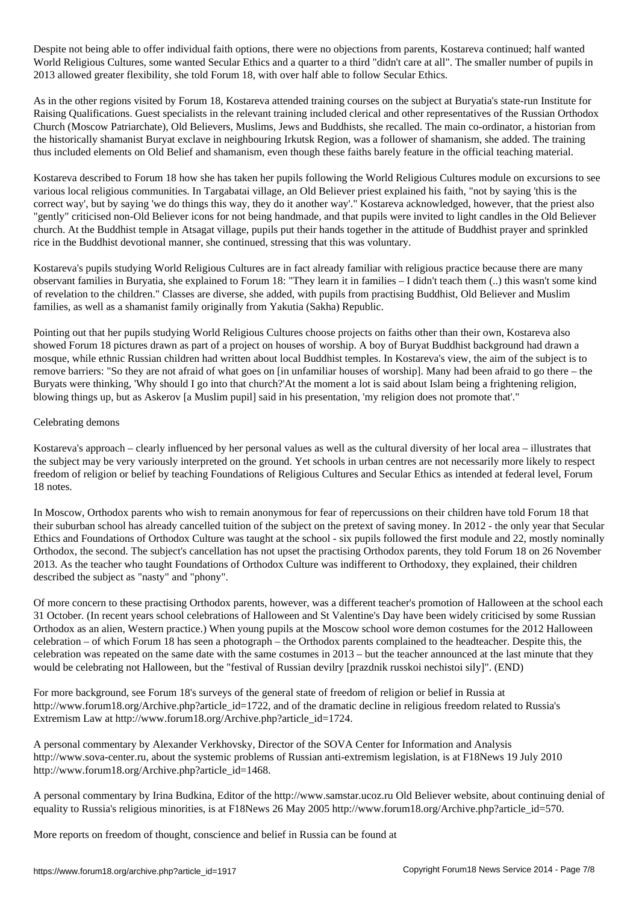Despite not being able to offer individual faith options, there were no objections from parents, Kostareva continued; half wanted World Religious Cultures, some wanted Secular Ethics and a quarter to a third "didn't care at all". The smaller number of pupils in 2013 allowed greater flexibility, she told Forum 18, with over half able to follow Secular Ethics.

As in the other regions visited by Forum 18, Kostareva attended training courses on the subject at Buryatia's state-run Institute for Raising Qualifications. Guest specialists in the relevant training included clerical and other representatives of the Russian Orthodox Church (Moscow Patriarchate), Old Believers, Muslims, Jews and Buddhists, she recalled. The main co-ordinator, a historian from the historically shamanist Buryat exclave in neighbouring Irkutsk Region, was a follower of shamanism, she added. The training thus included elements on Old Belief and shamanism, even though these faiths barely feature in the official teaching material.

Kostareva described to Forum 18 how she has taken her pupils following the World Religious Cultures module on excursions to see various local religious communities. In Targabatai village, an Old Believer priest explained his faith, "not by saying 'this is the correct way', but by saying 'we do things this way, they do it another way'." Kostareva acknowledged, however, that the priest also "gently" criticised non-Old Believer icons for not being handmade, and that pupils were invited to light candles in the Old Believer church. At the Buddhist temple in Atsagat village, pupils put their hands together in the attitude of Buddhist prayer and sprinkled rice in the Buddhist devotional manner, she continued, stressing that this was voluntary.

Kostareva's pupils studying World Religious Cultures are in fact already familiar with religious practice because there are many observant families in Buryatia, she explained to Forum 18: "They learn it in families – I didn't teach them (..) this wasn't some kind of revelation to the children." Classes are diverse, she added, with pupils from practising Buddhist, Old Believer and Muslim families, as well as a shamanist family originally from Yakutia (Sakha) Republic.

Pointing out that her pupils studying World Religious Cultures choose projects on faiths other than their own, Kostareva also showed Forum 18 pictures drawn as part of a project on houses of worship. A boy of Buryat Buddhist background had drawn a mosque, while ethnic Russian children had written about local Buddhist temples. In Kostareva's view, the aim of the subject is to remove barriers: "So they are not afraid of what goes on [in unfamiliar houses of worship]. Many had been afraid to go there – the Buryats were thinking, 'Why should I go into that church?'At the moment a lot is said about Islam being a frightening religion, blowing things up, but as Askerov [a Muslim pupil] said in his presentation, 'my religion does not promote that'."

#### Celebrating demons

Kostareva's approach – clearly influenced by her personal values as well as the cultural diversity of her local area – illustrates that the subject may be very variously interpreted on the ground. Yet schools in urban centres are not necessarily more likely to respect freedom of religion or belief by teaching Foundations of Religious Cultures and Secular Ethics as intended at federal level, Forum 18 notes.

In Moscow, Orthodox parents who wish to remain anonymous for fear of repercussions on their children have told Forum 18 that their suburban school has already cancelled tuition of the subject on the pretext of saving money. In 2012 - the only year that Secular Ethics and Foundations of Orthodox Culture was taught at the school - six pupils followed the first module and 22, mostly nominally Orthodox, the second. The subject's cancellation has not upset the practising Orthodox parents, they told Forum 18 on 26 November 2013. As the teacher who taught Foundations of Orthodox Culture was indifferent to Orthodoxy, they explained, their children described the subject as "nasty" and "phony".

Of more concern to these practising Orthodox parents, however, was a different teacher's promotion of Halloween at the school each 31 October. (In recent years school celebrations of Halloween and St Valentine's Day have been widely criticised by some Russian Orthodox as an alien, Western practice.) When young pupils at the Moscow school wore demon costumes for the 2012 Halloween celebration – of which Forum 18 has seen a photograph – the Orthodox parents complained to the headteacher. Despite this, the celebration was repeated on the same date with the same costumes in 2013 – but the teacher announced at the last minute that they would be celebrating not Halloween, but the "festival of Russian devilry [prazdnik russkoi nechistoi sily]". (END)

For more background, see Forum 18's surveys of the general state of freedom of religion or belief in Russia at http://www.forum18.org/Archive.php?article\_id=1722, and of the dramatic decline in religious freedom related to Russia's Extremism Law at http://www.forum18.org/Archive.php?article\_id=1724.

A personal commentary by Alexander Verkhovsky, Director of the SOVA Center for Information and Analysis http://www.sova-center.ru, about the systemic problems of Russian anti-extremism legislation, is at F18News 19 July 2010 http://www.forum18.org/Archive.php?article\_id=1468.

A personal commentary by Irina Budkina, Editor of the http://www.samstar.ucoz.ru Old Believer website, about continuing denial of equality to Russia's religious minorities, is at F18News 26 May 2005 http://www.forum18.org/Archive.php?article\_id=570.

More reports on freedom of thought, conscience and belief in Russia can be found at